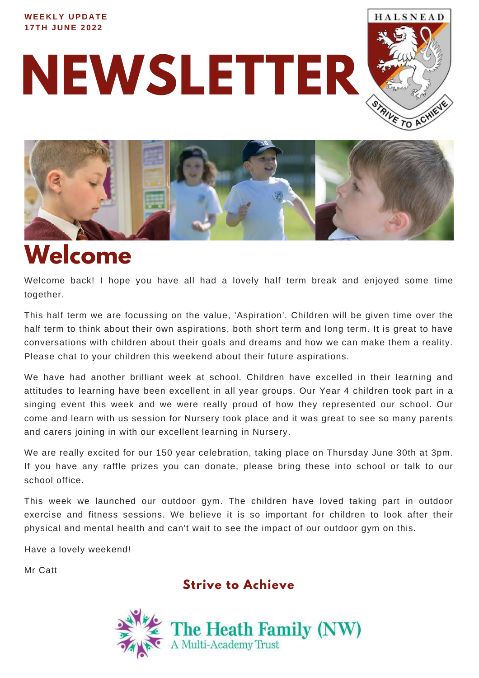#### **WEEKLY UPDATE 1 7TH JUNE 2 0 2 2**

**NEWSLETTER** 





## **Welcome**

Welcome back! I hope you have all had a lovely half term break and enjoyed some time together.

This half term we are focussing on the value, 'Aspiration'. Children will be given time over the half term to think about their own aspirations, both short term and long term. It is great to have conversations with children about their goals and dreams and how we can make them a reality. Please chat to your children this weekend about their future aspirations.

We have had another brilliant week at school. Children have excelled in their learning and attitudes to learning have been excellent in all year groups. Our Year 4 children took part in a singing event this week and we were really proud of how they represented our school. Our come and learn with us session for Nursery took place and it was great to see so many parents and carers joining in with our excellent learning in Nursery.

We are really excited for our 150 year celebration, taking place on Thursday June 30th at 3pm. If you have any raffle prizes you can donate, please bring these into school or talk to our school office.

This week we launched our outdoor gym. The children have loved taking part in outdoor exercise and fitness sessions. We believe it is so important for children to look after their physical and mental health and can't wait to see the impact of our outdoor gym on this.

Have a lovely weekend!

Mr Catt

**Strive to Achieve**

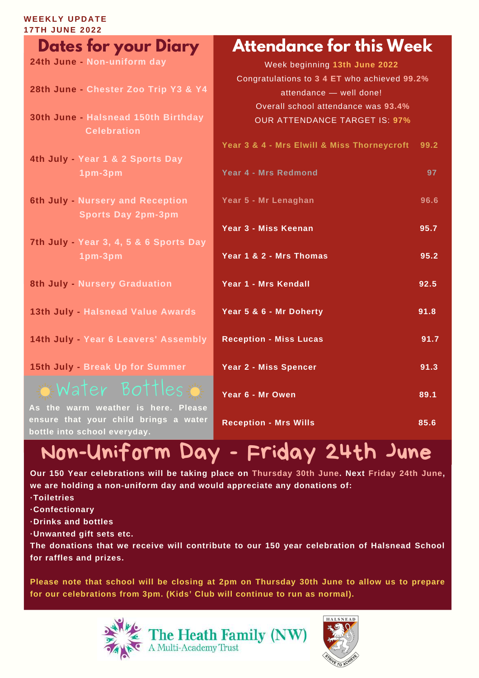### **WEEKLY UPDATE**

| <b>17TH JUNE 2022</b>                                                        |                                                     |  |
|------------------------------------------------------------------------------|-----------------------------------------------------|--|
| <b>Dates for your Diary</b>                                                  | <b>Attendance for this Week</b>                     |  |
| 24th June - Non-uniform day                                                  | Week beginning 13th June 2022                       |  |
|                                                                              | Congratulations to 3 4 ET who achieved 99.2%        |  |
| 28th June - Chester Zoo Trip Y3 & Y4                                         | attendance - well done!                             |  |
|                                                                              | Overall school attendance was 93.4%                 |  |
| 30th June - Halsnead 150th Birthday                                          | <b>OUR ATTENDANCE TARGET IS: 97%</b>                |  |
| <b>Celebration</b>                                                           |                                                     |  |
|                                                                              | Year 3 & 4 - Mrs Elwill & Miss Thorneycroft<br>99.2 |  |
| 4th July - Year 1 & 2 Sports Day                                             |                                                     |  |
| 1pm-3pm                                                                      | <b>Year 4 - Mrs Redmond</b><br>97                   |  |
| 6th July - Nursery and Reception                                             | Year 5 - Mr Lenaghan<br>96.6                        |  |
| <b>Sports Day 2pm-3pm</b>                                                    |                                                     |  |
|                                                                              | Year 3 - Miss Keenan<br>95.7                        |  |
| 7th July - Year 3, 4, 5 & 6 Sports Day                                       |                                                     |  |
| 1pm-3pm                                                                      | Year 1 & 2 - Mrs Thomas<br>95.2                     |  |
|                                                                              |                                                     |  |
| 8th July - Nursery Graduation                                                | Year 1 - Mrs Kendall<br>92.5                        |  |
|                                                                              |                                                     |  |
| 13th July - Halsnead Value Awards                                            | Year 5 & 6 - Mr Doherty<br>91.8                     |  |
|                                                                              |                                                     |  |
| 14th July - Year 6 Leavers' Assembly                                         | <b>Reception - Miss Lucas</b><br>91.7               |  |
|                                                                              |                                                     |  |
| 15th July - Break Up for Summer                                              | Year 2 - Miss Spencer<br>91.3                       |  |
| $\in$ Water Bottles $\in$                                                    |                                                     |  |
|                                                                              | Year 6 - Mr Owen<br>89.1                            |  |
| As the warm weather is here. Please<br>ensure that your child brings a water |                                                     |  |
| bottle into school everyday.                                                 | <b>Reception - Mrs Wills</b><br>85.6                |  |
|                                                                              |                                                     |  |

## Non-Uniform Day - Friday 24th June

**Our 150 Year celebrations will be taking place on Thursday 30th June. Next Friday 24th June, we are holding a non-uniform day and would appreciate any donations of:**

**·Toiletries**

**·Confectionary**

**·Drinks and bottles**

**·Unwanted gift sets etc.**

**The donations that we receive will contribute to our 150 year celebration of Halsnead School for raffles and prizes.**

**Please note that school will be closing at 2pm on Thursday 30th June to allow us to prepare for our celebrations from 3pm. (Kids' Club will continue to run as normal).**



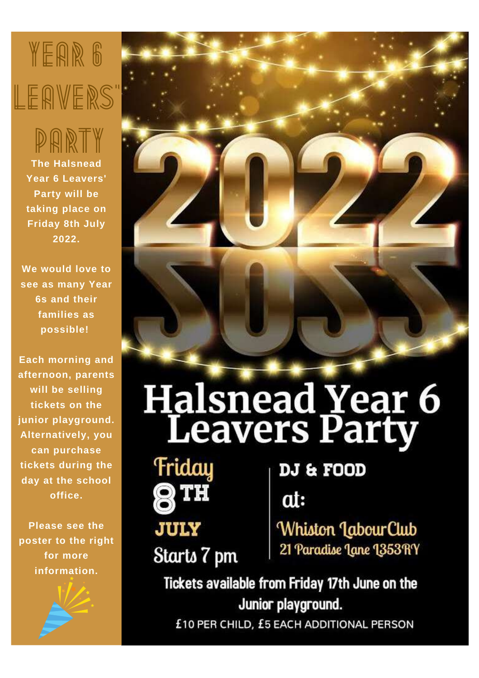## YEAR 6 LEAVERS'

**The Halsnead** PARTY

**Year 6 Leavers' Party will be taking place on Friday 8th July 2022.**

**We would love to see as many Year 6s and their families as possible!**

**Each morning and afternoon, parents will be selling tickets on the junior playground. Alternatively, you can purchase tickets during the day at the school office.**

**Please see the poster to the right for more information.**





# **Halsnead Year 6**<br>Leavers Party



Starts 7 pm

### DJ & FOOD

at:

Whiston LabourClub 21 Paradise Lane 1353 RY

Tickets available from Friday 17th June on the Junior playground.

£10 PER CHILD, £5 EACH ADDITIONAL PERSON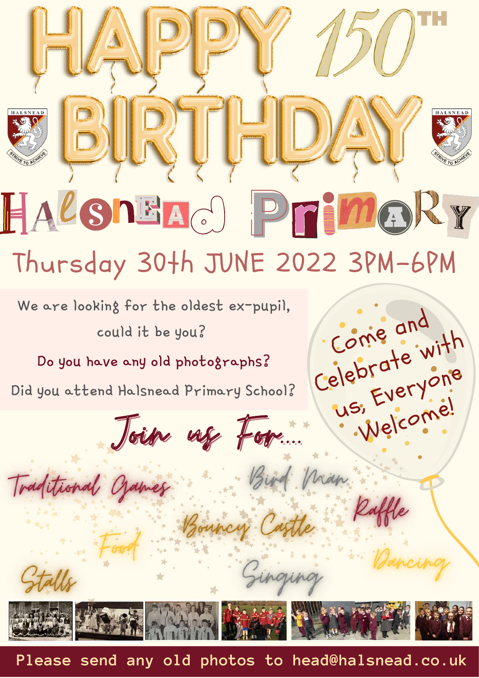# **BURTHDAY** HALSNEAO PTIMORY

 $HAPV D0$ 

## Thursday 30th JUNE 2022 3PM-6PM

Come and

us,

Nian

Celebrate with

Everyone

Welcome!

We are looking for the oldest ex-pupil, could it be you?

Do you have any old photographs?

Did you attend Halsnead Primary School?

Joign use For...

Traditional Crames



Bouncy Castle

Ginging

**Please send any old photos to head@halsnead.co.uk**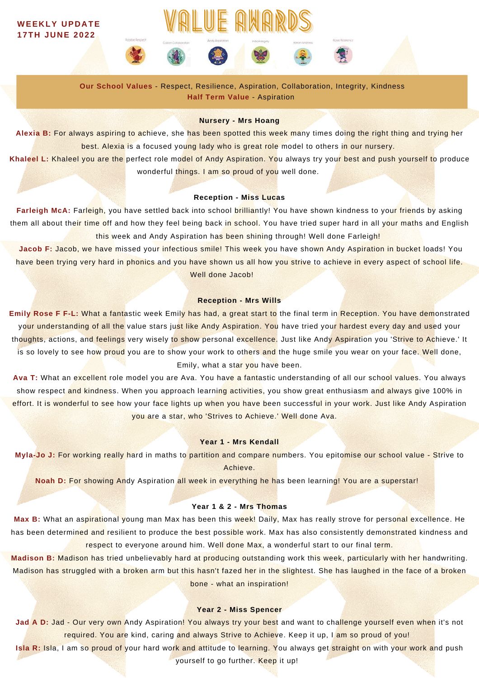#### **WEEKLY UPDATE 1 7TH JUNE 2 0 2 2**



VALUE AWARDS

**Our School Values** - Respect, Resilience, Aspiration, Collaboration, Integrity, Kindness **Half Term Value** - Aspiration

#### **Nursery - Mrs Hoang**

**Alexia B:** For always aspiring to achieve, she has been spotted this week many times doing the right thing and trying her best. Alexia is a focused young lady who is great role model to others in our nursery.

**Khaleel L:** Khaleel you are the perfect role model of Andy Aspiration. You always try your best and push yourself to produce wonderful things. I am so proud of you well done.

#### **Reception - Miss Lucas**

**Farleigh McA:** Farleigh, you have settled back into school brilliantly! You have shown kindness to your friends by asking them all about their time off and how they feel being back in school. You have tried super hard in all your maths and English this week and Andy Aspiration has been shining through! Well done Farleigh!

**Jacob F:** Jacob, we have missed your infectious smile! This week you have shown Andy Aspiration in bucket loads! You have been trying very hard in phonics and you have shown us all how you strive to achieve in every aspect of school life. Well done Jacob!

#### **Reception - Mrs Wills**

**Emily Rose F F-L:** What a fantastic week Emily has had, a great start to the final term in Reception. You have demonstrated your understanding of all the value stars just like Andy Aspiration. You have tried your hardest every day and used your thoughts, actions, and feelings very wisely to show personal excellence. Just like Andy Aspiration you 'Strive to Achieve.' It is so lovely to see how proud you are to show your work to others and the huge smile you wear on your face. Well done, Emily, what a star you have been.

**Ava T:** What an excellent role model you are Ava. You have a fantastic understanding of all our school values. You always show respect and kindness. When you approach learning activities, you show great enthusiasm and always give 100% in effort. It is wonderful to see how your face lights up when you have been successful in your work. Just like Andy Aspiration you are a star, who 'Strives to Achieve.' Well done Ava.

#### **Year 1 - Mrs Kendall**

**Myla-Jo J:** For working really hard in maths to partition and compare numbers. You epitomise our school value - Strive to Achieve.

**Noah D:** For showing Andy Aspiration all week in everything he has been learning! You are a superstar!

#### **Year 1 & 2 - Mrs Thomas**

**Max B:** What an aspirational young man Max has been this week! Daily, Max has really strove for personal excellence. He has been determined and resilient to produce the best possible work. Max has also consistently demonstrated kindness and respect to everyone around him. Well done Max, a wonderful start to our final term.

**Madison B:** Madison has tried unbelievably hard at producing outstanding work this week, particularly with her handwriting. Madison has struggled with a broken arm but this hasn't fazed her in the slightest. She has laughed in the face of a broken bone - what an inspiration!

#### **Year 2 - Miss Spencer**

Jad A D: Jad - Our very own Andy Aspiration! You always try your best and want to challenge yourself even when it's not required. You are kind, caring and always Strive to Achieve. Keep it up, I am so proud of you!

Isla R: Isla, I am so proud of your hard work and attitude to learning. You always get straight on with your work and push

yourself to go further. Keep it up!